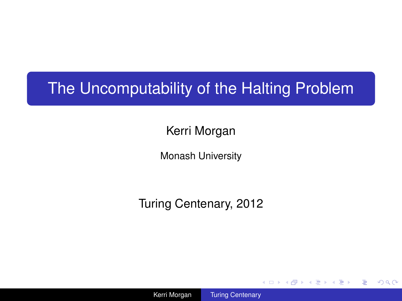# The Uncomputability of the Halting Problem

Kerri Morgan

Monash University

Turing Centenary, 2012

Kerri Morgan [Turing Centenary](#page-7-0)

4 ロ ) (何 ) (日 ) (日 )

÷.

<span id="page-0-0"></span> $2Q$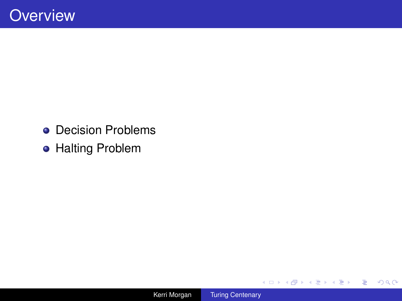- Decision Problems
- **Halting Problem**

メロトメ 御 トメ 差 トメ 差 トー

 $E = \Omega Q$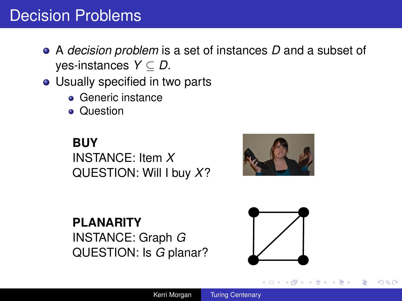## Decision Problems

- A *decision problem* is a set of instances *D* and a subset of yes-instances *Y* ⊆ *D*.
- Usually specified in two parts
	- **Generic instance**
	- **•** Question

**BUY** INSTANCE: Item *X* QUESTION: Will I buy *X*?



**PLANARITY** INSTANCE: Graph *G* QUESTION: Is *G* planar?



④ ティミト

 $2Q$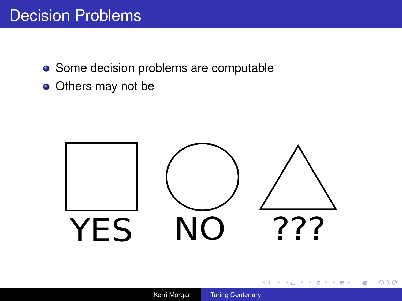## Decision Problems

- Some decision problems are computable
- Others may not be



イロト イ団ト イヨト イヨト

÷.

 $2990$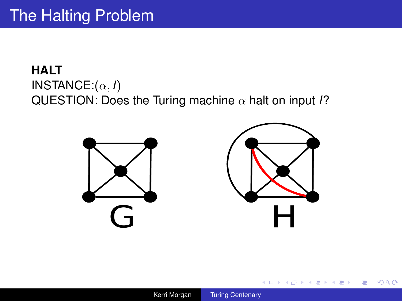### **HALT** INSTANCE:(α, *I*) QUESTION: Does the Turing machine α halt on input *I*?





イロト イ押 トイヨ トイヨ トー

重

 $299$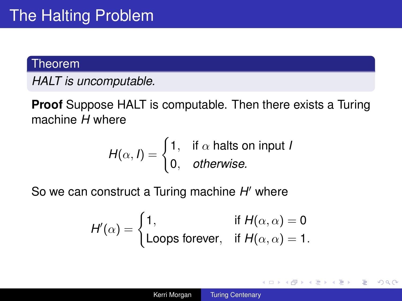#### **Theorem**

*HALT is uncomputable.*

**Proof** Suppose HALT is computable. Then there exists a Turing machine *H* where

$$
H(\alpha, I) = \begin{cases} 1, & \text{if } \alpha \text{ halts on input } I \\ 0, & \text{otherwise.} \end{cases}
$$

So we can construct a Turing machine H' where

$$
H'(\alpha) = \begin{cases} 1, & \text{if } H(\alpha, \alpha) = 0 \\ \text{Loops forever}, & \text{if } H(\alpha, \alpha) = 1. \end{cases}
$$

イロト イ押 トイヨ トイヨト

÷.

 $2Q$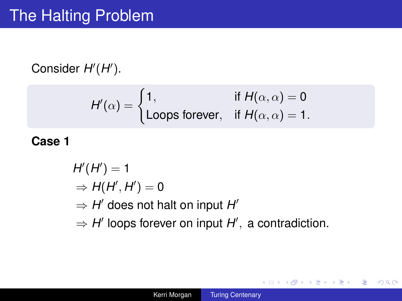Consider  $H'(H')$ .

$$
H'(\alpha) = \begin{cases} 1, & \text{if } H(\alpha,\alpha) = 0 \\ \text{Loops forever}, & \text{if } H(\alpha,\alpha) = 1. \end{cases}
$$

**Case 1**

 $H'(H') = 1$  $\Rightarrow H(H', H') = 0$  $\Rightarrow$  *H'* does not halt on input *H'*  $\Rightarrow$  *H'* loops forever on input *H'*, a contradiction.

イロト イ押 トイヨ トイヨ トー

÷.  $QQ$